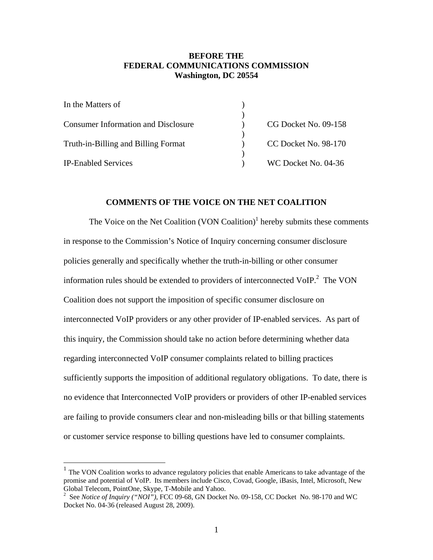# **BEFORE THE FEDERAL COMMUNICATIONS COMMISSION Washington, DC 20554**

| In the Matters of                          |                      |
|--------------------------------------------|----------------------|
| <b>Consumer Information and Disclosure</b> | CG Docket No. 09-158 |
| Truth-in-Billing and Billing Format        | CC Docket No. 98-170 |
| <b>IP-Enabled Services</b>                 | WC Docket No. 04-36  |
|                                            |                      |

## **COMMENTS OF THE VOICE ON THE NET COALITION**

The Voice on the Net Coalition  $(VON$  Coalition)<sup>1</sup> hereby submits these comments in response to the Commission's Notice of Inquiry concerning consumer disclosure policies generally and specifically whether the truth-in-billing or other consumer information rules should be extended to providers of interconnected VoIP.<sup>2</sup> The VON Coalition does not support the imposition of specific consumer disclosure on interconnected VoIP providers or any other provider of IP-enabled services. As part of this inquiry, the Commission should take no action before determining whether data regarding interconnected VoIP consumer complaints related to billing practices sufficiently supports the imposition of additional regulatory obligations. To date, there is no evidence that Interconnected VoIP providers or providers of other IP-enabled services are failing to provide consumers clear and non-misleading bills or that billing statements or customer service response to billing questions have led to consumer complaints.

 $1$  The VON Coalition works to advance regulatory policies that enable Americans to take advantage of the promise and potential of VoIP. Its members include Cisco, Covad, Google, iBasis, Intel, Microsoft, New Global Telecom, PointOne, Skype, T-Mobile and Yahoo. <sup>2</sup>

<sup>&</sup>lt;sup>2</sup> See *Notice of Inquiry ("NOI")*, FCC 09-68, GN Docket No. 09-158, CC Docket No. 98-170 and WC Docket No. 04-36 (released August 28, 2009).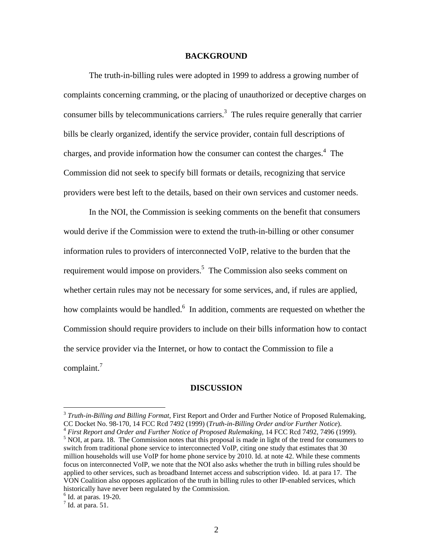#### **BACKGROUND**

 The truth-in-billing rules were adopted in 1999 to address a growing number of complaints concerning cramming, or the placing of unauthorized or deceptive charges on consumer bills by telecommunications carriers. $3$  The rules require generally that carrier bills be clearly organized, identify the service provider, contain full descriptions of charges, and provide information how the consumer can contest the charges.<sup>4</sup> The Commission did not seek to specify bill formats or details, recognizing that service providers were best left to the details, based on their own services and customer needs.

 In the NOI, the Commission is seeking comments on the benefit that consumers would derive if the Commission were to extend the truth-in-billing or other consumer information rules to providers of interconnected VoIP, relative to the burden that the requirement would impose on providers.<sup>5</sup> The Commission also seeks comment on whether certain rules may not be necessary for some services, and, if rules are applied, how complaints would be handled.<sup>6</sup> In addition, comments are requested on whether the Commission should require providers to include on their bills information how to contact the service provider via the Internet, or how to contact the Commission to file a complaint.<sup>7</sup>

#### **DISCUSSION**

<sup>3</sup> *Truth-in-Billing and Billing Format*, First Report and Order and Further Notice of Proposed Rulemaking, CC Docket No. 98-170, 14 FCC Rcd 7492 (1999) (*Truth-in-Billing Order and/or Further Notice*).<br><sup>4</sup> *First Report and Order and Further Notice of Proposed Rulemaking, 14 FCC Rcd 7492, 7496 (1999).* 

<sup>&</sup>lt;sup>5</sup> NOI, at para. 18. The Commission notes that this proposal is made in light of the trend for consumers to switch from traditional phone service to interconnected VoIP, citing one study that estimates that 30 million households will use VoIP for home phone service by 2010. Id. at note 42. While these comments focus on interconnected VoIP, we note that the NOI also asks whether the truth in billing rules should be applied to other services, such as broadband Internet access and subscription video. Id. at para 17. The VON Coalition also opposes application of the truth in billing rules to other IP-enabled services, which historically have never been regulated by the Commission.

 $<sup>6</sup>$  Id. at paras. 19-20.</sup>

 $<sup>7</sup>$  Id. at para. 51.</sup>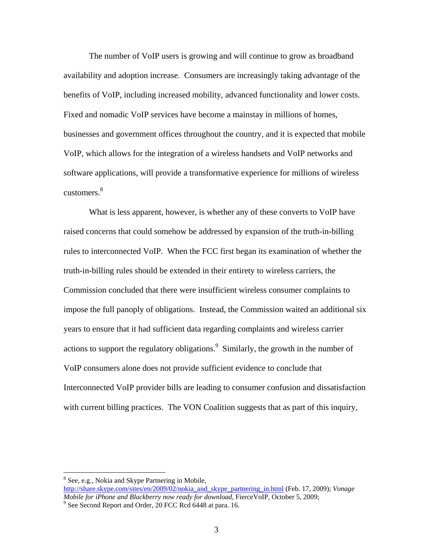The number of VoIP users is growing and will continue to grow as broadband availability and adoption increase. Consumers are increasingly taking advantage of the benefits of VoIP, including increased mobility, advanced functionality and lower costs. Fixed and nomadic VoIP services have become a mainstay in millions of homes, businesses and government offices throughout the country, and it is expected that mobile VoIP, which allows for the integration of a wireless handsets and VoIP networks and software applications, will provide a transformative experience for millions of wireless customers. $8<sup>8</sup>$ 

 What is less apparent, however, is whether any of these converts to VoIP have raised concerns that could somehow be addressed by expansion of the truth-in-billing rules to interconnected VoIP. When the FCC first began its examination of whether the truth-in-billing rules should be extended in their entirety to wireless carriers, the Commission concluded that there were insufficient wireless consumer complaints to impose the full panoply of obligations. Instead, the Commission waited an additional six years to ensure that it had sufficient data regarding complaints and wireless carrier actions to support the regulatory obligations. $9$  Similarly, the growth in the number of VoIP consumers alone does not provide sufficient evidence to conclude that Interconnected VoIP provider bills are leading to consumer confusion and dissatisfaction with current billing practices. The VON Coalition suggests that as part of this inquiry,

<sup>&</sup>lt;sup>8</sup> See, e.g., Nokia and Skype Partnering in Mobile,

http://share.skype.com/sites/en/2009/02/nokia\_and\_skype\_partnering\_in.html (Feb. 17, 2009); *Vonage Mobile for iPhone and Blackberry now ready for download, FierceVoIP, October 5, 2009;* 

<sup>&</sup>lt;sup>9</sup> See Second Report and Order, 20 FCC Rcd 6448 at para. 16.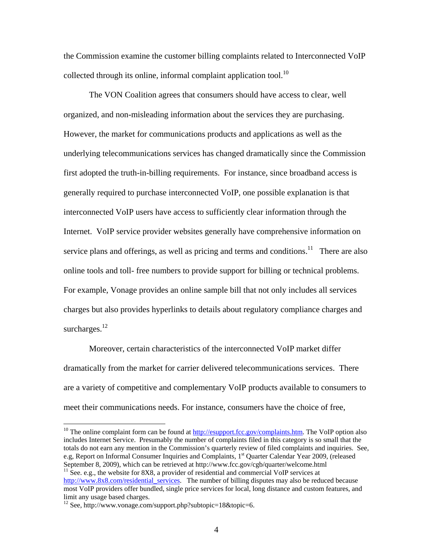the Commission examine the customer billing complaints related to Interconnected VoIP collected through its online, informal complaint application tool.<sup>10</sup>

 The VON Coalition agrees that consumers should have access to clear, well organized, and non-misleading information about the services they are purchasing. However, the market for communications products and applications as well as the underlying telecommunications services has changed dramatically since the Commission first adopted the truth-in-billing requirements. For instance, since broadband access is generally required to purchase interconnected VoIP, one possible explanation is that interconnected VoIP users have access to sufficiently clear information through the Internet. VoIP service provider websites generally have comprehensive information on service plans and offerings, as well as pricing and terms and conditions.<sup>11</sup> There are also online tools and toll- free numbers to provide support for billing or technical problems. For example, Vonage provides an online sample bill that not only includes all services charges but also provides hyperlinks to details about regulatory compliance charges and surcharges.<sup>12</sup>

 Moreover, certain characteristics of the interconnected VoIP market differ dramatically from the market for carrier delivered telecommunications services. There are a variety of competitive and complementary VoIP products available to consumers to meet their communications needs. For instance, consumers have the choice of free,

<sup>&</sup>lt;sup>10</sup> The online complaint form can be found at  $\frac{http://esupport.fcc.gov/complains.htm}{http://esupport.fcc.gov/complains.htm}$ . The VoIP option also includes Internet Service. Presumably the number of complaints filed in this category is so small that the totals do not earn any mention in the Commission's quarterly review of filed complaints and inquiries. See, e.g, Report on Informal Consumer Inquiries and Complaints, 1<sup>st</sup> Quarter Calendar Year 2009, (released September 8, 2009), which can be retrieved at http://www.fcc.gov/cgb/quarter/welcome.html  $11$  See. e.g., the website for 8X8, a provider of residential and commercial VoIP services at http://www.8x8.com/residential\_services. The number of billing disputes may also be reduced because

most VoIP providers offer bundled, single price services for local, long distance and custom features, and limit any usage based charges.

<sup>&</sup>lt;sup>12</sup> See, http://www.vonage.com/support.php?subtopic=18&topic=6.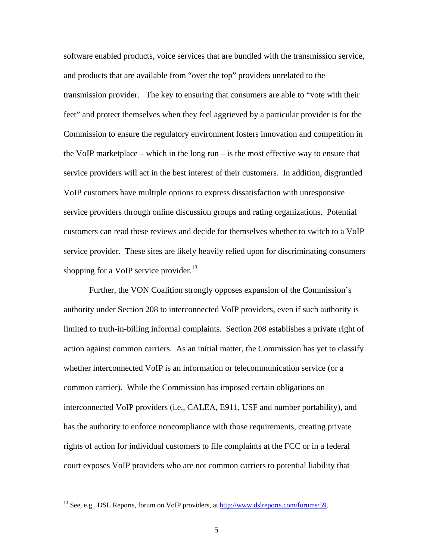software enabled products, voice services that are bundled with the transmission service, and products that are available from "over the top" providers unrelated to the transmission provider. The key to ensuring that consumers are able to "vote with their feet" and protect themselves when they feel aggrieved by a particular provider is for the Commission to ensure the regulatory environment fosters innovation and competition in the VoIP marketplace – which in the long run – is the most effective way to ensure that service providers will act in the best interest of their customers. In addition, disgruntled VoIP customers have multiple options to express dissatisfaction with unresponsive service providers through online discussion groups and rating organizations. Potential customers can read these reviews and decide for themselves whether to switch to a VoIP service provider. These sites are likely heavily relied upon for discriminating consumers shopping for a VoIP service provider.<sup>13</sup>

 Further, the VON Coalition strongly opposes expansion of the Commission's authority under Section 208 to interconnected VoIP providers, even if such authority is limited to truth-in-billing informal complaints. Section 208 establishes a private right of action against common carriers. As an initial matter, the Commission has yet to classify whether interconnected VoIP is an information or telecommunication service (or a common carrier). While the Commission has imposed certain obligations on interconnected VoIP providers (i.e., CALEA, E911, USF and number portability), and has the authority to enforce noncompliance with those requirements, creating private rights of action for individual customers to file complaints at the FCC or in a federal court exposes VoIP providers who are not common carriers to potential liability that

<sup>&</sup>lt;sup>13</sup> See, e.g., DSL Reports, forum on VoIP providers, at http://www.dslreports.com/forums/59.